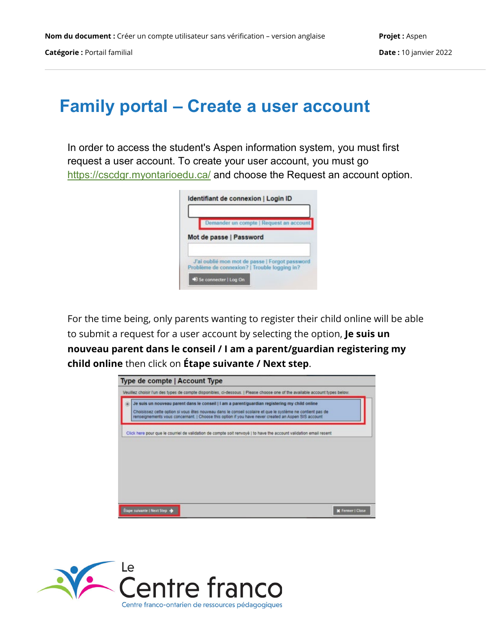**Catégorie :** Portail familial **Date :** 10 janvier 2022

## **Family portal – Create a user account**

In order to access the student's Aspen information system, you must first request a user account. To create your user account, you must go <https://cscdgr.myontarioedu.ca/> and choose the Request an account option.

| Demander un compte   Request an account                                                        |
|------------------------------------------------------------------------------------------------|
|                                                                                                |
| Mot de passe   Password                                                                        |
|                                                                                                |
| J'ai oublié mon mot de passe   Forgot password<br>Problème de connexion?   Trouble logging in? |
|                                                                                                |

For the time being, only parents wanting to register their child online will be able to submit a request for a user account by selecting the option, **Je suis un nouveau parent dans le conseil / I am a parent/guardian registering my child online** then click on **Étape suivante / Next step**.

| Veuillez choisir l'un des types de compte disponibles, ci-dessous.   Please choose one of the available account types below. |                                                                                                                                                                                                                                                                                                                     |  |  |
|------------------------------------------------------------------------------------------------------------------------------|---------------------------------------------------------------------------------------------------------------------------------------------------------------------------------------------------------------------------------------------------------------------------------------------------------------------|--|--|
|                                                                                                                              | Je suis un nouveau parent dans le conseil   I am a parent/guardian registering my child online<br>Choisissez cette option si vous êtes nouveau dans le conseil scolaire et que le système ne contient pas de<br>renseignements vous concernant.   Choose this option if you have never created an Aspen SIS account |  |  |
|                                                                                                                              | Click here pour que le courriel de validation de compte soit renvoyé   to have the account validation email resent                                                                                                                                                                                                  |  |  |
|                                                                                                                              |                                                                                                                                                                                                                                                                                                                     |  |  |
|                                                                                                                              |                                                                                                                                                                                                                                                                                                                     |  |  |
|                                                                                                                              |                                                                                                                                                                                                                                                                                                                     |  |  |
|                                                                                                                              |                                                                                                                                                                                                                                                                                                                     |  |  |
|                                                                                                                              |                                                                                                                                                                                                                                                                                                                     |  |  |

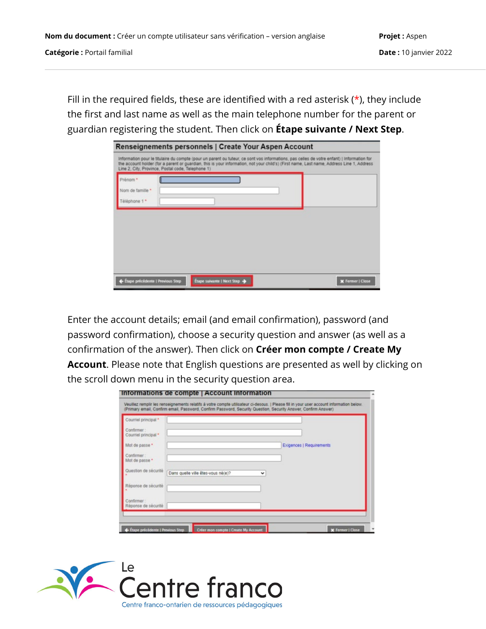Fill in the required fields, these are identified with a red asterisk  $(*)$ , they include the first and last name as well as the main telephone number for the parent or guardian registering the student. Then click on **Étape suivante / Next Step**.

| <b>Renseignements personnels   Create Your Aspen Account</b> |  |                                                                                                                                                                                                                                                                                         |                         |  |  |
|--------------------------------------------------------------|--|-----------------------------------------------------------------------------------------------------------------------------------------------------------------------------------------------------------------------------------------------------------------------------------------|-------------------------|--|--|
| Line 2. City, Province, Postal code, Telephone 1).           |  | Information pour le titulaire du compte (pour un parent ou tuteur, ce sont vos informations, pas celles de votre enfant)   Information for<br>the account holder (for a parent or quardian, this is your information, not your child's) (First name, Last name, Address Line 1, Address |                         |  |  |
| Prénom *<br>Nom de familie *<br>Téléphone 1 *                |  |                                                                                                                                                                                                                                                                                         |                         |  |  |
|                                                              |  |                                                                                                                                                                                                                                                                                         |                         |  |  |
|                                                              |  |                                                                                                                                                                                                                                                                                         |                         |  |  |
|                                                              |  |                                                                                                                                                                                                                                                                                         |                         |  |  |
| Étape précédente   Previous Step                             |  | Étape suivante   Next Step →                                                                                                                                                                                                                                                            | <b>X</b> Fermer   Close |  |  |

Enter the account details; email (and email confirmation), password (and password confirmation), choose a security question and answer (as well as a confirmation of the answer). Then click on **Créer mon compte / Create My Account**. Please note that English questions are presented as well by clicking on the scroll down menu in the security question area.

| Courriel principal *               |                                    |              |                                 |
|------------------------------------|------------------------------------|--------------|---------------------------------|
| Confirmer:<br>Courriel principal * |                                    |              |                                 |
| Mot de passe *                     |                                    |              | <b>Exigences   Requirements</b> |
| Confirmer:<br>Mot de passe *       |                                    |              |                                 |
| Question de sécurité               | Dans quelle ville êtes-vous né(e)? | $\checkmark$ |                                 |
| Réponse de sécurité                |                                    |              |                                 |
| Confirmer:<br>Réponse de sécurité  |                                    |              |                                 |

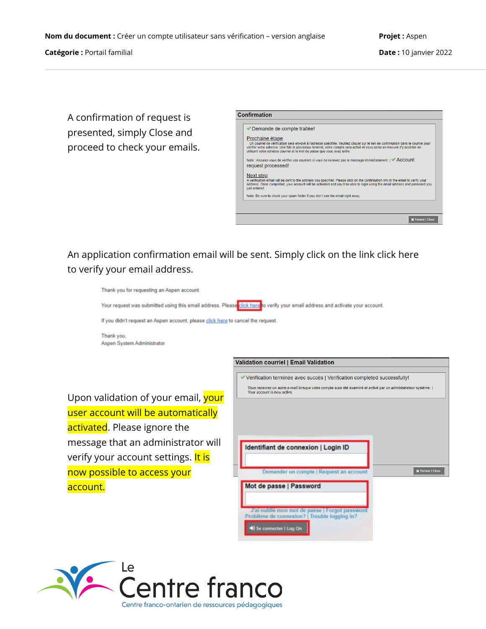A confirmation of request is presented, simply Close and proceed to check your emails.

|                            | ◆ Demande de compte traitée!                                                                                                                                                                                                                                                                                                                               |
|----------------------------|------------------------------------------------------------------------------------------------------------------------------------------------------------------------------------------------------------------------------------------------------------------------------------------------------------------------------------------------------------|
|                            | Prochaine étape<br>Un courriel de vérification sera envoyé à l'adresse spécifiée. Veuillez cliquer sur le lien de confirmation dans le courriel pour<br>vérifier votre adresse. Une fois le processus terminé, votre compte sera activé et vous serez en mesure d'y accéder en<br>utilisant votre adresse courriel et le mot de passe que vous avez entré. |
|                            | Note : Assurez-vous de vérifier vos courriels si vous ne recevez pas le message immédiatement.   ACCOUNT<br>request processed!                                                                                                                                                                                                                             |
| Next step<br>just entered. | A verification email will be sent to the address vou specified. Please click on the confirmation link in the email to verify vour<br>address. Once completed, your account will be activated and you'll be able to login using the email address and password you                                                                                          |
|                            | Note: Be sure to check your spam folder if you don't see the email right away.                                                                                                                                                                                                                                                                             |

An application confirmation email will be sent. Simply click on the link click here to verify your email address.

| Thank you for requesting an Aspen account.                                       |                                                                                                                                             |  |  |  |  |  |  |
|----------------------------------------------------------------------------------|---------------------------------------------------------------------------------------------------------------------------------------------|--|--|--|--|--|--|
|                                                                                  | Your request was submitted using this email address. Please click here to verify your email address and activate your account.              |  |  |  |  |  |  |
| If you didn't request an Aspen account, please click here to cancel the request. |                                                                                                                                             |  |  |  |  |  |  |
| Thank you,<br>Aspen System Administrator                                         |                                                                                                                                             |  |  |  |  |  |  |
|                                                                                  | <b>Validation courriel   Email Validation</b>                                                                                               |  |  |  |  |  |  |
|                                                                                  | <i>V</i> Vérification terminée avec succès   Verification completed successfully!                                                           |  |  |  |  |  |  |
| Upon validation of your email, your                                              | Vous recevrez un autre e-mail lorsque votre compte aura été examiné et activé par un administrateur système.<br>Your account is now active. |  |  |  |  |  |  |
| user account will be automatically                                               |                                                                                                                                             |  |  |  |  |  |  |
| activated. Please ignore the                                                     |                                                                                                                                             |  |  |  |  |  |  |
| message that an administrator will                                               | Identifiant de connexion   Login ID                                                                                                         |  |  |  |  |  |  |
| verify your account settings. It is                                              |                                                                                                                                             |  |  |  |  |  |  |
| now possible to access your                                                      | <b>X</b> Fermer   Close<br>Demander un compte   Request an account                                                                          |  |  |  |  |  |  |
| account.                                                                         | Mot de passe   Password                                                                                                                     |  |  |  |  |  |  |
|                                                                                  | J'ai oublié mon mot de passe   Forgot password<br>Problème de connexion?   Trouble logging in?                                              |  |  |  |  |  |  |
|                                                                                  | and the contract of the contract of the con-                                                                                                |  |  |  |  |  |  |

 $\frac{1}{2}$  Log On  $\frac{1}{2}$